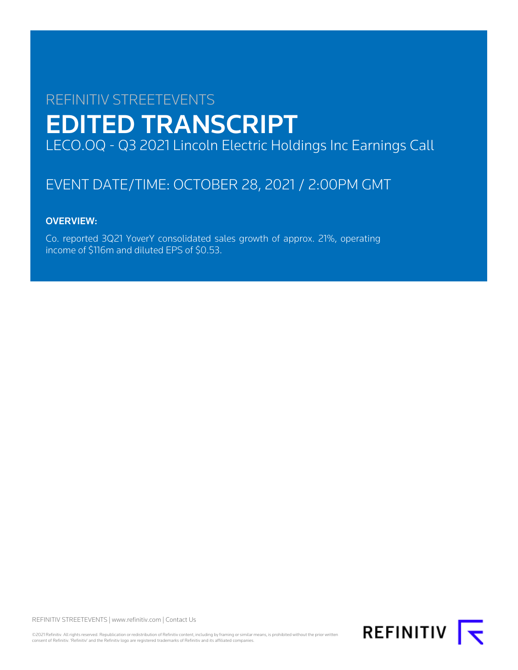# REFINITIV STREETEVENTS EDITED TRANSCRIPT LECO.OQ - Q3 2021 Lincoln Electric Holdings Inc Earnings Call

## EVENT DATE/TIME: OCTOBER 28, 2021 / 2:00PM GMT

### OVERVIEW:

Co. reported 3Q21 YoverY consolidated sales growth of approx. 21%, operating income of \$116m and diluted EPS of \$0.53.

REFINITIV STREETEVENTS | [www.refinitiv.com](https://www.refinitiv.com/) | [Contact Us](https://www.refinitiv.com/en/contact-us)

©2021 Refinitiv. All rights reserved. Republication or redistribution of Refinitiv content, including by framing or similar means, is prohibited without the prior written consent of Refinitiv. 'Refinitiv' and the Refinitiv logo are registered trademarks of Refinitiv and its affiliated companies.

**REFINITIV**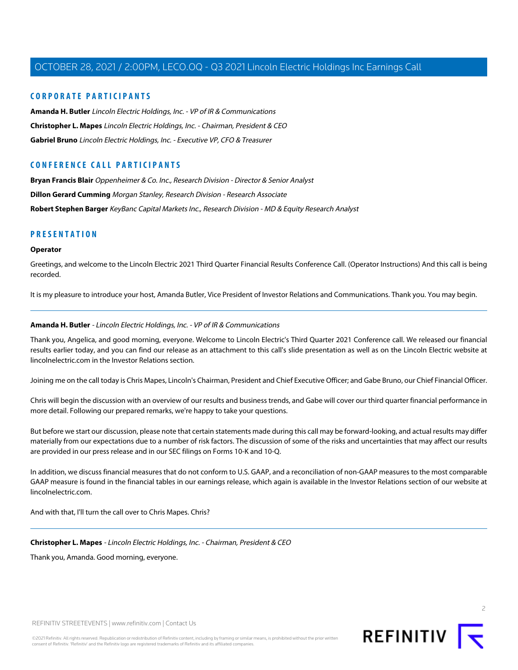### **CORPORATE PARTICIPANTS**

**[Amanda H. Butler](#page-1-0)** Lincoln Electric Holdings, Inc. - VP of IR & Communications **[Christopher L. Mapes](#page-1-1)** Lincoln Electric Holdings, Inc. - Chairman, President & CEO **[Gabriel Bruno](#page-3-0)** Lincoln Electric Holdings, Inc. - Executive VP, CFO & Treasurer

### **CONFERENCE CALL PARTICIPANTS**

**[Bryan Francis Blair](#page-4-0)** Oppenheimer & Co. Inc., Research Division - Director & Senior Analyst **[Dillon Gerard Cumming](#page-5-0)** Morgan Stanley, Research Division - Research Associate **[Robert Stephen Barger](#page-7-0)** KeyBanc Capital Markets Inc., Research Division - MD & Equity Research Analyst

### **PRESENTATION**

#### **Operator**

Greetings, and welcome to the Lincoln Electric 2021 Third Quarter Financial Results Conference Call. (Operator Instructions) And this call is being recorded.

<span id="page-1-0"></span>It is my pleasure to introduce your host, Amanda Butler, Vice President of Investor Relations and Communications. Thank you. You may begin.

### **Amanda H. Butler** - Lincoln Electric Holdings, Inc. - VP of IR & Communications

Thank you, Angelica, and good morning, everyone. Welcome to Lincoln Electric's Third Quarter 2021 Conference call. We released our financial results earlier today, and you can find our release as an attachment to this call's slide presentation as well as on the Lincoln Electric website at lincolnelectric.com in the Investor Relations section.

Joining me on the call today is Chris Mapes, Lincoln's Chairman, President and Chief Executive Officer; and Gabe Bruno, our Chief Financial Officer.

Chris will begin the discussion with an overview of our results and business trends, and Gabe will cover our third quarter financial performance in more detail. Following our prepared remarks, we're happy to take your questions.

But before we start our discussion, please note that certain statements made during this call may be forward-looking, and actual results may differ materially from our expectations due to a number of risk factors. The discussion of some of the risks and uncertainties that may affect our results are provided in our press release and in our SEC filings on Forms 10-K and 10-Q.

<span id="page-1-1"></span>In addition, we discuss financial measures that do not conform to U.S. GAAP, and a reconciliation of non-GAAP measures to the most comparable GAAP measure is found in the financial tables in our earnings release, which again is available in the Investor Relations section of our website at lincolnelectric.com

And with that, I'll turn the call over to Chris Mapes. Chris?

**Christopher L. Mapes** - Lincoln Electric Holdings, Inc. - Chairman, President & CEO

Thank you, Amanda. Good morning, everyone.

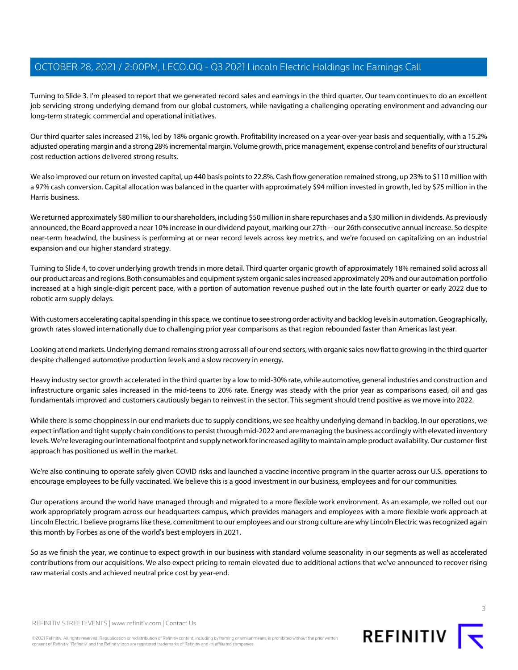Turning to Slide 3. I'm pleased to report that we generated record sales and earnings in the third quarter. Our team continues to do an excellent job servicing strong underlying demand from our global customers, while navigating a challenging operating environment and advancing our long-term strategic commercial and operational initiatives.

Our third quarter sales increased 21%, led by 18% organic growth. Profitability increased on a year-over-year basis and sequentially, with a 15.2% adjusted operating margin and a strong 28% incremental margin. Volume growth, price management, expense control and benefits of our structural cost reduction actions delivered strong results.

We also improved our return on invested capital, up 440 basis points to 22.8%. Cash flow generation remained strong, up 23% to \$110 million with a 97% cash conversion. Capital allocation was balanced in the quarter with approximately \$94 million invested in growth, led by \$75 million in the Harris business.

We returned approximately \$80 million to our shareholders, including \$50 million in share repurchases and a \$30 million in dividends. As previously announced, the Board approved a near 10% increase in our dividend payout, marking our 27th -- our 26th consecutive annual increase. So despite near-term headwind, the business is performing at or near record levels across key metrics, and we're focused on capitalizing on an industrial expansion and our higher standard strategy.

Turning to Slide 4, to cover underlying growth trends in more detail. Third quarter organic growth of approximately 18% remained solid across all our product areas and regions. Both consumables and equipment system organic sales increased approximately 20% and our automation portfolio increased at a high single-digit percent pace, with a portion of automation revenue pushed out in the late fourth quarter or early 2022 due to robotic arm supply delays.

With customers accelerating capital spending in this space, we continue to see strong order activity and backlog levels in automation. Geographically, growth rates slowed internationally due to challenging prior year comparisons as that region rebounded faster than Americas last year.

Looking at end markets. Underlying demand remains strong across all of our end sectors, with organic sales now flat to growing in the third quarter despite challenged automotive production levels and a slow recovery in energy.

Heavy industry sector growth accelerated in the third quarter by a low to mid-30% rate, while automotive, general industries and construction and infrastructure organic sales increased in the mid-teens to 20% rate. Energy was steady with the prior year as comparisons eased, oil and gas fundamentals improved and customers cautiously began to reinvest in the sector. This segment should trend positive as we move into 2022.

While there is some choppiness in our end markets due to supply conditions, we see healthy underlying demand in backlog. In our operations, we expect inflation and tight supply chain conditions to persist through mid-2022 and are managing the business accordingly with elevated inventory levels. We're leveraging our international footprint and supply network for increased agility to maintain ample product availability. Our customer-first approach has positioned us well in the market.

We're also continuing to operate safely given COVID risks and launched a vaccine incentive program in the quarter across our U.S. operations to encourage employees to be fully vaccinated. We believe this is a good investment in our business, employees and for our communities.

Our operations around the world have managed through and migrated to a more flexible work environment. As an example, we rolled out our work appropriately program across our headquarters campus, which provides managers and employees with a more flexible work approach at Lincoln Electric. I believe programs like these, commitment to our employees and our strong culture are why Lincoln Electric was recognized again this month by Forbes as one of the world's best employers in 2021.

So as we finish the year, we continue to expect growth in our business with standard volume seasonality in our segments as well as accelerated contributions from our acquisitions. We also expect pricing to remain elevated due to additional actions that we've announced to recover rising raw material costs and achieved neutral price cost by year-end.

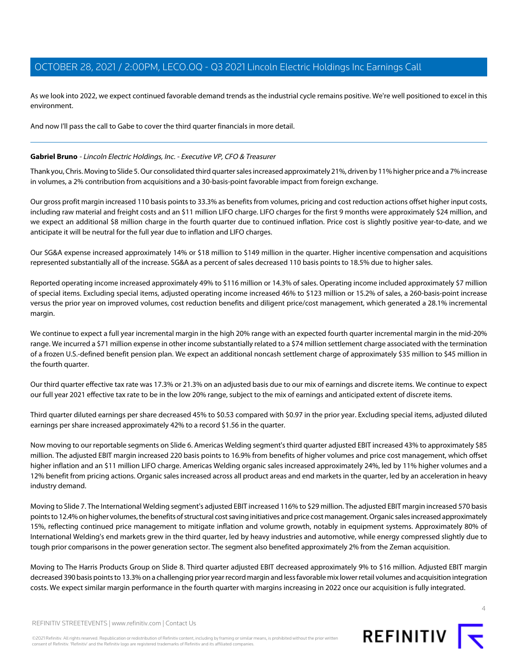As we look into 2022, we expect continued favorable demand trends as the industrial cycle remains positive. We're well positioned to excel in this environment.

And now I'll pass the call to Gabe to cover the third quarter financials in more detail.

### <span id="page-3-0"></span>**Gabriel Bruno** - Lincoln Electric Holdings, Inc. - Executive VP, CFO & Treasurer

Thank you, Chris. Moving to Slide 5. Our consolidated third quarter sales increased approximately 21%, driven by 11% higher price and a 7% increase in volumes, a 2% contribution from acquisitions and a 30-basis-point favorable impact from foreign exchange.

Our gross profit margin increased 110 basis points to 33.3% as benefits from volumes, pricing and cost reduction actions offset higher input costs, including raw material and freight costs and an \$11 million LIFO charge. LIFO charges for the first 9 months were approximately \$24 million, and we expect an additional \$8 million charge in the fourth quarter due to continued inflation. Price cost is slightly positive year-to-date, and we anticipate it will be neutral for the full year due to inflation and LIFO charges.

Our SG&A expense increased approximately 14% or \$18 million to \$149 million in the quarter. Higher incentive compensation and acquisitions represented substantially all of the increase. SG&A as a percent of sales decreased 110 basis points to 18.5% due to higher sales.

Reported operating income increased approximately 49% to \$116 million or 14.3% of sales. Operating income included approximately \$7 million of special items. Excluding special items, adjusted operating income increased 46% to \$123 million or 15.2% of sales, a 260-basis-point increase versus the prior year on improved volumes, cost reduction benefits and diligent price/cost management, which generated a 28.1% incremental margin.

We continue to expect a full year incremental margin in the high 20% range with an expected fourth quarter incremental margin in the mid-20% range. We incurred a \$71 million expense in other income substantially related to a \$74 million settlement charge associated with the termination of a frozen U.S.-defined benefit pension plan. We expect an additional noncash settlement charge of approximately \$35 million to \$45 million in the fourth quarter.

Our third quarter effective tax rate was 17.3% or 21.3% on an adjusted basis due to our mix of earnings and discrete items. We continue to expect our full year 2021 effective tax rate to be in the low 20% range, subject to the mix of earnings and anticipated extent of discrete items.

Third quarter diluted earnings per share decreased 45% to \$0.53 compared with \$0.97 in the prior year. Excluding special items, adjusted diluted earnings per share increased approximately 42% to a record \$1.56 in the quarter.

Now moving to our reportable segments on Slide 6. Americas Welding segment's third quarter adjusted EBIT increased 43% to approximately \$85 million. The adjusted EBIT margin increased 220 basis points to 16.9% from benefits of higher volumes and price cost management, which offset higher inflation and an \$11 million LIFO charge. Americas Welding organic sales increased approximately 24%, led by 11% higher volumes and a 12% benefit from pricing actions. Organic sales increased across all product areas and end markets in the quarter, led by an acceleration in heavy industry demand.

Moving to Slide 7. The International Welding segment's adjusted EBIT increased 116% to \$29 million. The adjusted EBIT margin increased 570 basis points to 12.4% on higher volumes, the benefits of structural cost saving initiatives and price cost management. Organic sales increased approximately 15%, reflecting continued price management to mitigate inflation and volume growth, notably in equipment systems. Approximately 80% of International Welding's end markets grew in the third quarter, led by heavy industries and automotive, while energy compressed slightly due to tough prior comparisons in the power generation sector. The segment also benefited approximately 2% from the Zeman acquisition.

Moving to The Harris Products Group on Slide 8. Third quarter adjusted EBIT decreased approximately 9% to \$16 million. Adjusted EBIT margin decreased 390 basis points to 13.3% on a challenging prior year record margin and less favorable mix lower retail volumes and acquisition integration costs. We expect similar margin performance in the fourth quarter with margins increasing in 2022 once our acquisition is fully integrated.



©2021 Refinitiv. All rights reserved. Republication or redistribution of Refinitiv content, including by framing or similar means, is prohibited without the prior written consent of Refinitiv. 'Refinitiv' and the Refinitiv logo are registered trademarks of Refinitiv and its affiliated companies.

 $\Delta$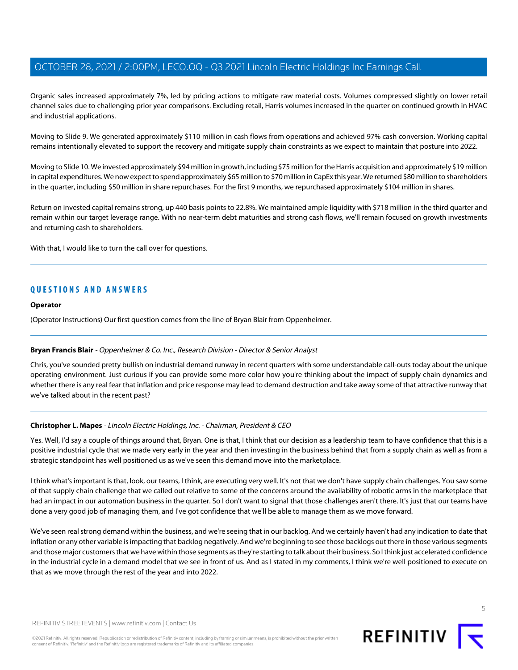Organic sales increased approximately 7%, led by pricing actions to mitigate raw material costs. Volumes compressed slightly on lower retail channel sales due to challenging prior year comparisons. Excluding retail, Harris volumes increased in the quarter on continued growth in HVAC and industrial applications.

Moving to Slide 9. We generated approximately \$110 million in cash flows from operations and achieved 97% cash conversion. Working capital remains intentionally elevated to support the recovery and mitigate supply chain constraints as we expect to maintain that posture into 2022.

Moving to Slide 10. We invested approximately \$94 million in growth, including \$75 million for the Harris acquisition and approximately \$19 million in capital expenditures. We now expect to spend approximately \$65 million to \$70 million in CapEx this year. We returned \$80 million to shareholders in the quarter, including \$50 million in share repurchases. For the first 9 months, we repurchased approximately \$104 million in shares.

Return on invested capital remains strong, up 440 basis points to 22.8%. We maintained ample liquidity with \$718 million in the third quarter and remain within our target leverage range. With no near-term debt maturities and strong cash flows, we'll remain focused on growth investments and returning cash to shareholders.

With that, I would like to turn the call over for questions.

### **QUESTIONS AND ANSWERS**

### **Operator**

<span id="page-4-0"></span>(Operator Instructions) Our first question comes from the line of Bryan Blair from Oppenheimer.

### **Bryan Francis Blair** - Oppenheimer & Co. Inc., Research Division - Director & Senior Analyst

Chris, you've sounded pretty bullish on industrial demand runway in recent quarters with some understandable call-outs today about the unique operating environment. Just curious if you can provide some more color how you're thinking about the impact of supply chain dynamics and whether there is any real fear that inflation and price response may lead to demand destruction and take away some of that attractive runway that we've talked about in the recent past?

### **Christopher L. Mapes** - Lincoln Electric Holdings, Inc. - Chairman, President & CEO

Yes. Well, I'd say a couple of things around that, Bryan. One is that, I think that our decision as a leadership team to have confidence that this is a positive industrial cycle that we made very early in the year and then investing in the business behind that from a supply chain as well as from a strategic standpoint has well positioned us as we've seen this demand move into the marketplace.

I think what's important is that, look, our teams, I think, are executing very well. It's not that we don't have supply chain challenges. You saw some of that supply chain challenge that we called out relative to some of the concerns around the availability of robotic arms in the marketplace that had an impact in our automation business in the quarter. So I don't want to signal that those challenges aren't there. It's just that our teams have done a very good job of managing them, and I've got confidence that we'll be able to manage them as we move forward.

We've seen real strong demand within the business, and we're seeing that in our backlog. And we certainly haven't had any indication to date that inflation or any other variable is impacting that backlog negatively. And we're beginning to see those backlogs out there in those various segments and those major customers that we have within those segments as they're starting to talk about their business. So I think just accelerated confidence in the industrial cycle in a demand model that we see in front of us. And as I stated in my comments, I think we're well positioned to execute on that as we move through the rest of the year and into 2022.

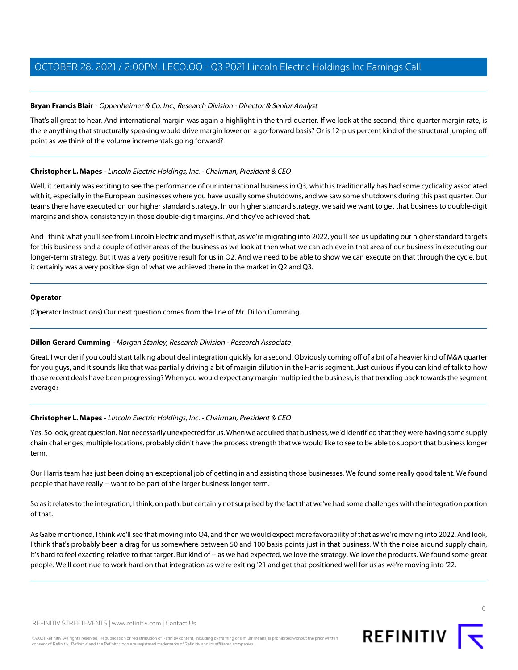### **Bryan Francis Blair** - Oppenheimer & Co. Inc., Research Division - Director & Senior Analyst

That's all great to hear. And international margin was again a highlight in the third quarter. If we look at the second, third quarter margin rate, is there anything that structurally speaking would drive margin lower on a go-forward basis? Or is 12-plus percent kind of the structural jumping off point as we think of the volume incrementals going forward?

### **Christopher L. Mapes** - Lincoln Electric Holdings, Inc. - Chairman, President & CEO

Well, it certainly was exciting to see the performance of our international business in Q3, which is traditionally has had some cyclicality associated with it, especially in the European businesses where you have usually some shutdowns, and we saw some shutdowns during this past quarter. Our teams there have executed on our higher standard strategy. In our higher standard strategy, we said we want to get that business to double-digit margins and show consistency in those double-digit margins. And they've achieved that.

And I think what you'll see from Lincoln Electric and myself is that, as we're migrating into 2022, you'll see us updating our higher standard targets for this business and a couple of other areas of the business as we look at then what we can achieve in that area of our business in executing our longer-term strategy. But it was a very positive result for us in Q2. And we need to be able to show we can execute on that through the cycle, but it certainly was a very positive sign of what we achieved there in the market in Q2 and Q3.

### **Operator**

<span id="page-5-0"></span>(Operator Instructions) Our next question comes from the line of Mr. Dillon Cumming.

### **Dillon Gerard Cumming** - Morgan Stanley, Research Division - Research Associate

Great. I wonder if you could start talking about deal integration quickly for a second. Obviously coming off of a bit of a heavier kind of M&A quarter for you guys, and it sounds like that was partially driving a bit of margin dilution in the Harris segment. Just curious if you can kind of talk to how those recent deals have been progressing? When you would expect any margin multiplied the business, is that trending back towards the segment average?

### **Christopher L. Mapes** - Lincoln Electric Holdings, Inc. - Chairman, President & CEO

Yes. So look, great question. Not necessarily unexpected for us. When we acquired that business, we'd identified that they were having some supply chain challenges, multiple locations, probably didn't have the process strength that we would like to see to be able to support that business longer term.

Our Harris team has just been doing an exceptional job of getting in and assisting those businesses. We found some really good talent. We found people that have really -- want to be part of the larger business longer term.

So as it relates to the integration, I think, on path, but certainly not surprised by the fact that we've had some challenges with the integration portion of that.

As Gabe mentioned, I think we'll see that moving into Q4, and then we would expect more favorability of that as we're moving into 2022. And look, I think that's probably been a drag for us somewhere between 50 and 100 basis points just in that business. With the noise around supply chain, it's hard to feel exacting relative to that target. But kind of -- as we had expected, we love the strategy. We love the products. We found some great people. We'll continue to work hard on that integration as we're exiting '21 and get that positioned well for us as we're moving into '22.

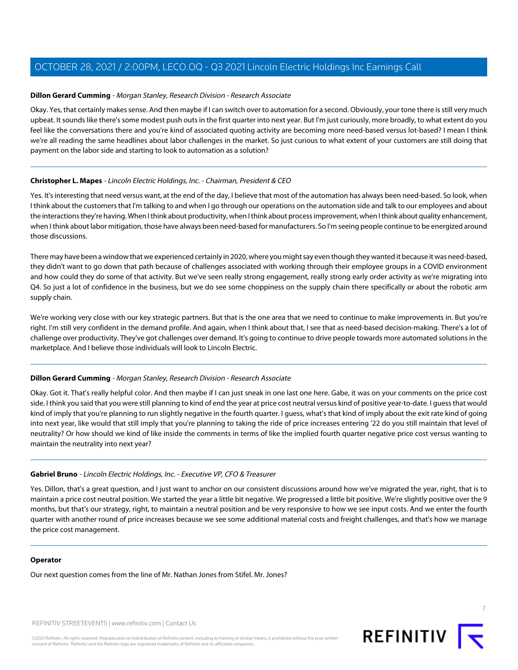### **Dillon Gerard Cumming** - Morgan Stanley, Research Division - Research Associate

Okay. Yes, that certainly makes sense. And then maybe if I can switch over to automation for a second. Obviously, your tone there is still very much upbeat. It sounds like there's some modest push outs in the first quarter into next year. But I'm just curiously, more broadly, to what extent do you feel like the conversations there and you're kind of associated quoting activity are becoming more need-based versus lot-based? I mean I think we're all reading the same headlines about labor challenges in the market. So just curious to what extent of your customers are still doing that payment on the labor side and starting to look to automation as a solution?

### **Christopher L. Mapes** - Lincoln Electric Holdings, Inc. - Chairman, President & CEO

Yes. It's interesting that need versus want, at the end of the day, I believe that most of the automation has always been need-based. So look, when I think about the customers that I'm talking to and when I go through our operations on the automation side and talk to our employees and about the interactions they're having. When I think about productivity, when I think about process improvement, when I think about quality enhancement, when I think about labor mitigation, those have always been need-based for manufacturers. So I'm seeing people continue to be energized around those discussions.

There may have been a window that we experienced certainly in 2020, where you might say even though they wanted it because it was need-based, they didn't want to go down that path because of challenges associated with working through their employee groups in a COVID environment and how could they do some of that activity. But we've seen really strong engagement, really strong early order activity as we're migrating into Q4. So just a lot of confidence in the business, but we do see some choppiness on the supply chain there specifically or about the robotic arm supply chain.

We're working very close with our key strategic partners. But that is the one area that we need to continue to make improvements in. But you're right. I'm still very confident in the demand profile. And again, when I think about that, I see that as need-based decision-making. There's a lot of challenge over productivity. They've got challenges over demand. It's going to continue to drive people towards more automated solutions in the marketplace. And I believe those individuals will look to Lincoln Electric.

### **Dillon Gerard Cumming** - Morgan Stanley, Research Division - Research Associate

Okay. Got it. That's really helpful color. And then maybe if I can just sneak in one last one here. Gabe, it was on your comments on the price cost side. I think you said that you were still planning to kind of end the year at price cost neutral versus kind of positive year-to-date. I guess that would kind of imply that you're planning to run slightly negative in the fourth quarter. I guess, what's that kind of imply about the exit rate kind of going into next year, like would that still imply that you're planning to taking the ride of price increases entering '22 do you still maintain that level of neutrality? Or how should we kind of like inside the comments in terms of like the implied fourth quarter negative price cost versus wanting to maintain the neutrality into next year?

### **Gabriel Bruno** - Lincoln Electric Holdings, Inc. - Executive VP, CFO & Treasurer

Yes. Dillon, that's a great question, and I just want to anchor on our consistent discussions around how we've migrated the year, right, that is to maintain a price cost neutral position. We started the year a little bit negative. We progressed a little bit positive. We're slightly positive over the 9 months, but that's our strategy, right, to maintain a neutral position and be very responsive to how we see input costs. And we enter the fourth quarter with another round of price increases because we see some additional material costs and freight challenges, and that's how we manage the price cost management.

### **Operator**

Our next question comes from the line of Mr. Nathan Jones from Stifel. Mr. Jones?

REFINITIV STREETEVENTS | [www.refinitiv.com](https://www.refinitiv.com/) | [Contact Us](https://www.refinitiv.com/en/contact-us)

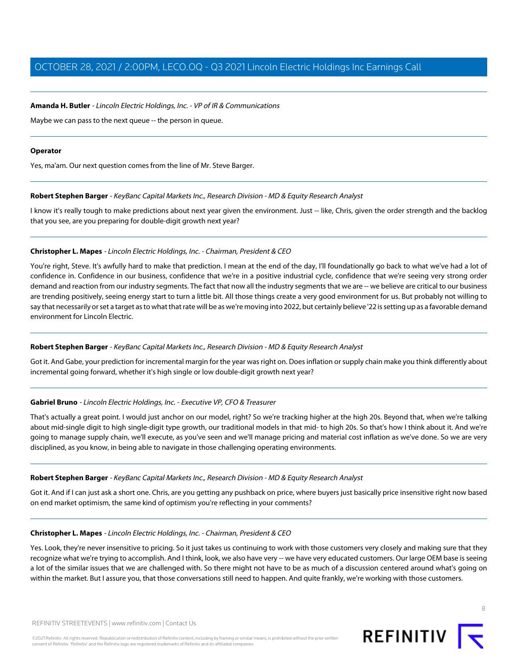### **Amanda H. Butler** - Lincoln Electric Holdings, Inc. - VP of IR & Communications

Maybe we can pass to the next queue -- the person in queue.

### **Operator**

<span id="page-7-0"></span>Yes, ma'am. Our next question comes from the line of Mr. Steve Barger.

### **Robert Stephen Barger** - KeyBanc Capital Markets Inc., Research Division - MD & Equity Research Analyst

I know it's really tough to make predictions about next year given the environment. Just -- like, Chris, given the order strength and the backlog that you see, are you preparing for double-digit growth next year?

### **Christopher L. Mapes** - Lincoln Electric Holdings, Inc. - Chairman, President & CEO

You're right, Steve. It's awfully hard to make that prediction. I mean at the end of the day, I'll foundationally go back to what we've had a lot of confidence in. Confidence in our business, confidence that we're in a positive industrial cycle, confidence that we're seeing very strong order demand and reaction from our industry segments. The fact that now all the industry segments that we are -- we believe are critical to our business are trending positively, seeing energy start to turn a little bit. All those things create a very good environment for us. But probably not willing to say that necessarily or set a target as to what that rate will be as we're moving into 2022, but certainly believe '22 is setting up as a favorable demand environment for Lincoln Electric.

### **Robert Stephen Barger** - KeyBanc Capital Markets Inc., Research Division - MD & Equity Research Analyst

Got it. And Gabe, your prediction for incremental margin for the year was right on. Does inflation or supply chain make you think differently about incremental going forward, whether it's high single or low double-digit growth next year?

### **Gabriel Bruno** - Lincoln Electric Holdings, Inc. - Executive VP, CFO & Treasurer

That's actually a great point. I would just anchor on our model, right? So we're tracking higher at the high 20s. Beyond that, when we're talking about mid-single digit to high single-digit type growth, our traditional models in that mid- to high 20s. So that's how I think about it. And we're going to manage supply chain, we'll execute, as you've seen and we'll manage pricing and material cost inflation as we've done. So we are very disciplined, as you know, in being able to navigate in those challenging operating environments.

### **Robert Stephen Barger** - KeyBanc Capital Markets Inc., Research Division - MD & Equity Research Analyst

Got it. And if I can just ask a short one. Chris, are you getting any pushback on price, where buyers just basically price insensitive right now based on end market optimism, the same kind of optimism you're reflecting in your comments?

### **Christopher L. Mapes** - Lincoln Electric Holdings, Inc. - Chairman, President & CEO

Yes. Look, they're never insensitive to pricing. So it just takes us continuing to work with those customers very closely and making sure that they recognize what we're trying to accomplish. And I think, look, we also have very -- we have very educated customers. Our large OEM base is seeing a lot of the similar issues that we are challenged with. So there might not have to be as much of a discussion centered around what's going on within the market. But I assure you, that those conversations still need to happen. And quite frankly, we're working with those customers.